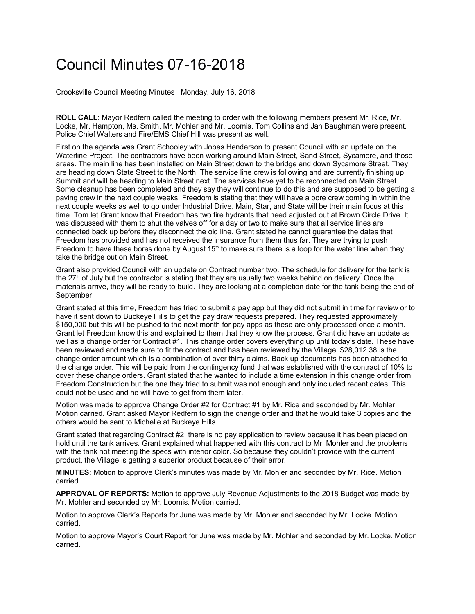## Council Minutes 07-16-2018

Crooksville Council Meeting Minutes Monday, July 16, 2018

**ROLL CALL**: Mayor Redfern called the meeting to order with the following members present Mr. Rice, Mr. Locke, Mr. Hampton, Ms. Smith, Mr. Mohler and Mr. Loomis. Tom Collins and Jan Baughman were present. Police Chief Walters and Fire/EMS Chief Hill was present as well.

First on the agenda was Grant Schooley with Jobes Henderson to present Council with an update on the Waterline Project. The contractors have been working around Main Street, Sand Street, Sycamore, and those areas. The main line has been installed on Main Street down to the bridge and down Sycamore Street. They are heading down State Street to the North. The service line crew is following and are currently finishing up Summit and will be heading to Main Street next. The services have yet to be reconnected on Main Street. Some cleanup has been completed and they say they will continue to do this and are supposed to be getting a paving crew in the next couple weeks. Freedom is stating that they will have a bore crew coming in within the next couple weeks as well to go under Industrial Drive. Main, Star, and State will be their main focus at this time. Tom let Grant know that Freedom has two fire hydrants that need adjusted out at Brown Circle Drive. It was discussed with them to shut the valves off for a day or two to make sure that all service lines are connected back up before they disconnect the old line. Grant stated he cannot guarantee the dates that Freedom has provided and has not received the insurance from them thus far. They are trying to push Freedom to have these bores done by August 15<sup>th</sup> to make sure there is a loop for the water line when they take the bridge out on Main Street.

Grant also provided Council with an update on Contract number two. The schedule for delivery for the tank is the  $27<sup>th</sup>$  of July but the contractor is stating that they are usually two weeks behind on delivery. Once the materials arrive, they will be ready to build. They are looking at a completion date for the tank being the end of September.

Grant stated at this time, Freedom has tried to submit a pay app but they did not submit in time for review or to have it sent down to Buckeye Hills to get the pay draw requests prepared. They requested approximately \$150,000 but this will be pushed to the next month for pay apps as these are only processed once a month. Grant let Freedom know this and explained to them that they know the process. Grant did have an update as well as a change order for Contract #1. This change order covers everything up until today's date. These have been reviewed and made sure to fit the contract and has been reviewed by the Village. \$28,012.38 is the change order amount which is a combination of over thirty claims. Back up documents has been attached to the change order. This will be paid from the contingency fund that was established with the contract of 10% to cover these change orders. Grant stated that he wanted to include a time extension in this change order from Freedom Construction but the one they tried to submit was not enough and only included recent dates. This could not be used and he will have to get from them later.

Motion was made to approve Change Order #2 for Contract #1 by Mr. Rice and seconded by Mr. Mohler. Motion carried. Grant asked Mayor Redfern to sign the change order and that he would take 3 copies and the others would be sent to Michelle at Buckeye Hills.

Grant stated that regarding Contract #2, there is no pay application to review because it has been placed on hold until the tank arrives. Grant explained what happened with this contract to Mr. Mohler and the problems with the tank not meeting the specs with interior color. So because they couldn't provide with the current product, the Village is getting a superior product because of their error.

**MINUTES:** Motion to approve Clerk's minutes was made by Mr. Mohler and seconded by Mr. Rice. Motion carried.

**APPROVAL OF REPORTS:** Motion to approve July Revenue Adjustments to the 2018 Budget was made by Mr. Mohler and seconded by Mr. Loomis. Motion carried.

Motion to approve Clerk's Reports for June was made by Mr. Mohler and seconded by Mr. Locke. Motion carried.

Motion to approve Mayor's Court Report for June was made by Mr. Mohler and seconded by Mr. Locke. Motion carried.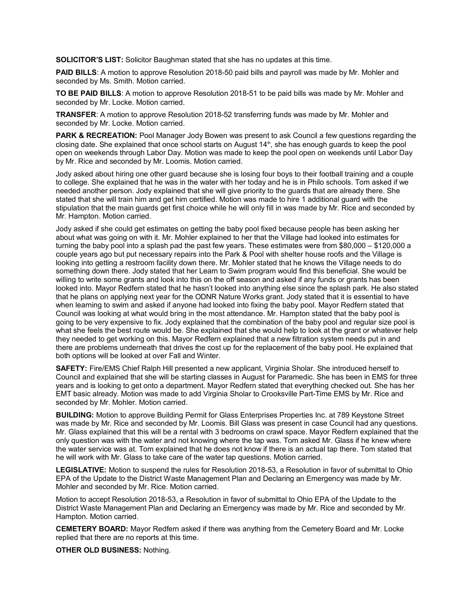**SOLICITOR'S LIST:** Solicitor Baughman stated that she has no updates at this time.

**PAID BILLS**: A motion to approve Resolution 2018-50 paid bills and payroll was made by Mr. Mohler and seconded by Ms. Smith. Motion carried.

**TO BE PAID BILLS**: A motion to approve Resolution 2018-51 to be paid bills was made by Mr. Mohler and seconded by Mr. Locke. Motion carried.

**TRANSFER**: A motion to approve Resolution 2018-52 transferring funds was made by Mr. Mohler and seconded by Mr. Locke. Motion carried.

**PARK & RECREATION:** Pool Manager Jody Bowen was present to ask Council a few questions regarding the closing date. She explained that once school starts on August 14<sup>th</sup>, she has enough guards to keep the pool open on weekends through Labor Day. Motion was made to keep the pool open on weekends until Labor Day by Mr. Rice and seconded by Mr. Loomis. Motion carried.

Jody asked about hiring one other guard because she is losing four boys to their football training and a couple to college. She explained that he was in the water with her today and he is in Philo schools. Tom asked if we needed another person. Jody explained that she will give priority to the guards that are already there. She stated that she will train him and get him certified. Motion was made to hire 1 additional guard with the stipulation that the main guards get first choice while he will only fill in was made by Mr. Rice and seconded by Mr. Hampton. Motion carried.

Jody asked if she could get estimates on getting the baby pool fixed because people has been asking her about what was going on with it. Mr. Mohler explained to her that the Village had looked into estimates for turning the baby pool into a splash pad the past few years. These estimates were from \$80,000 – \$120,000 a couple years ago but put necessary repairs into the Park & Pool with shelter house roofs and the Village is looking into getting a restroom facility down there. Mr. Mohler stated that he knows the Village needs to do something down there. Jody stated that her Learn to Swim program would find this beneficial. She would be willing to write some grants and look into this on the off season and asked if any funds or grants has been looked into. Mayor Redfern stated that he hasn't looked into anything else since the splash park. He also stated that he plans on applying next year for the ODNR Nature Works grant. Jody stated that it is essential to have when learning to swim and asked if anyone had looked into fixing the baby pool. Mayor Redfern stated that Council was looking at what would bring in the most attendance. Mr. Hampton stated that the baby pool is going to be very expensive to fix. Jody explained that the combination of the baby pool and regular size pool is what she feels the best route would be. She explained that she would help to look at the grant or whatever help they needed to get working on this. Mayor Redfern explained that a new filtration system needs put in and there are problems underneath that drives the cost up for the replacement of the baby pool. He explained that both options will be looked at over Fall and Winter.

**SAFETY:** Fire/EMS Chief Ralph Hill presented a new applicant, Virginia Sholar. She introduced herself to Council and explained that she will be starting classes in August for Paramedic. She has been in EMS for three years and is looking to get onto a department. Mayor Redfern stated that everything checked out. She has her EMT basic already. Motion was made to add Virginia Sholar to Crooksville Part-Time EMS by Mr. Rice and seconded by Mr. Mohler. Motion carried.

**BUILDING:** Motion to approve Building Permit for Glass Enterprises Properties Inc. at 789 Keystone Street was made by Mr. Rice and seconded by Mr. Loomis. Bill Glass was present in case Council had any questions. Mr. Glass explained that this will be a rental with 3 bedrooms on crawl space. Mayor Redfern explained that the only question was with the water and not knowing where the tap was. Tom asked Mr. Glass if he knew where the water service was at. Tom explained that he does not know if there is an actual tap there. Tom stated that he will work with Mr. Glass to take care of the water tap questions. Motion carried.

**LEGISLATIVE:** Motion to suspend the rules for Resolution 2018-53, a Resolution in favor of submittal to Ohio EPA of the Update to the District Waste Management Plan and Declaring an Emergency was made by Mr. Mohler and seconded by Mr. Rice. Motion carried.

Motion to accept Resolution 2018-53, a Resolution in favor of submittal to Ohio EPA of the Update to the District Waste Management Plan and Declaring an Emergency was made by Mr. Rice and seconded by Mr. Hampton. Motion carried.

**CEMETERY BOARD:** Mayor Redfern asked if there was anything from the Cemetery Board and Mr. Locke replied that there are no reports at this time.

**OTHER OLD BUSINESS:** Nothing.